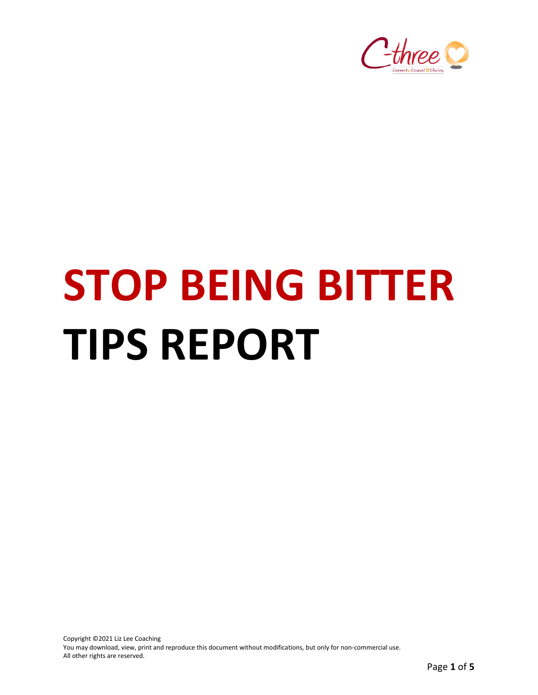

# **STOP BEING BITTER TIPS REPORT**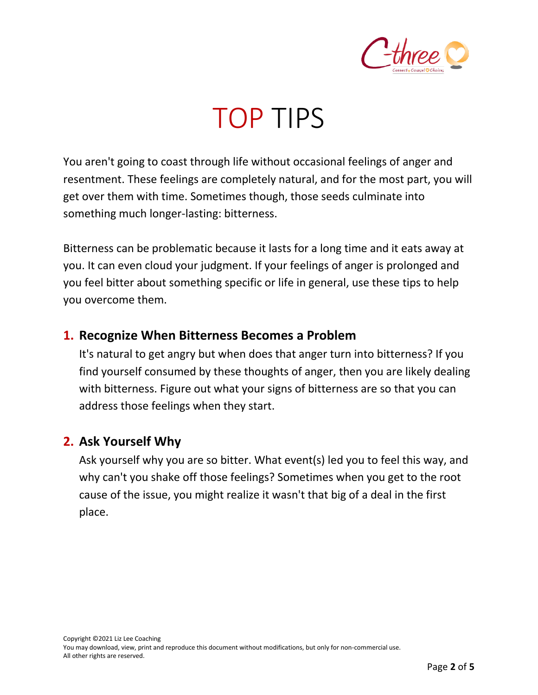

# TOP TIPS

You aren't going to coast through life without occasional feelings of anger and resentment. These feelings are completely natural, and for the most part, you will get over them with time. Sometimes though, those seeds culminate into something much longer-lasting: bitterness.

Bitterness can be problematic because it lasts for a long time and it eats away at you. It can even cloud your judgment. If your feelings of anger is prolonged and you feel bitter about something specific or life in general, use these tips to help you overcome them.

### **1. Recognize When Bitterness Becomes a Problem**

It's natural to get angry but when does that anger turn into bitterness? If you find yourself consumed by these thoughts of anger, then you are likely dealing with bitterness. Figure out what your signs of bitterness are so that you can address those feelings when they start.

### **2. Ask Yourself Why**

Ask yourself why you are so bitter. What event(s) led you to feel this way, and why can't you shake off those feelings? Sometimes when you get to the root cause of the issue, you might realize it wasn't that big of a deal in the first place.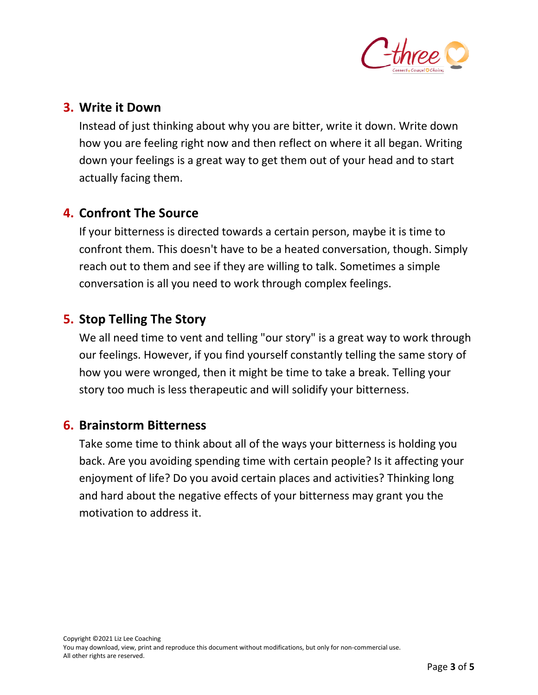

### **3. Write it Down**

Instead of just thinking about why you are bitter, write it down. Write down how you are feeling right now and then reflect on where it all began. Writing down your feelings is a great way to get them out of your head and to start actually facing them.

# **4. Confront The Source**

If your bitterness is directed towards a certain person, maybe it is time to confront them. This doesn't have to be a heated conversation, though. Simply reach out to them and see if they are willing to talk. Sometimes a simple conversation is all you need to work through complex feelings.

# **5. Stop Telling The Story**

We all need time to vent and telling "our story" is a great way to work through our feelings. However, if you find yourself constantly telling the same story of how you were wronged, then it might be time to take a break. Telling your story too much is less therapeutic and will solidify your bitterness.

### **6. Brainstorm Bitterness**

Take some time to think about all of the ways your bitterness is holding you back. Are you avoiding spending time with certain people? Is it affecting your enjoyment of life? Do you avoid certain places and activities? Thinking long and hard about the negative effects of your bitterness may grant you the motivation to address it.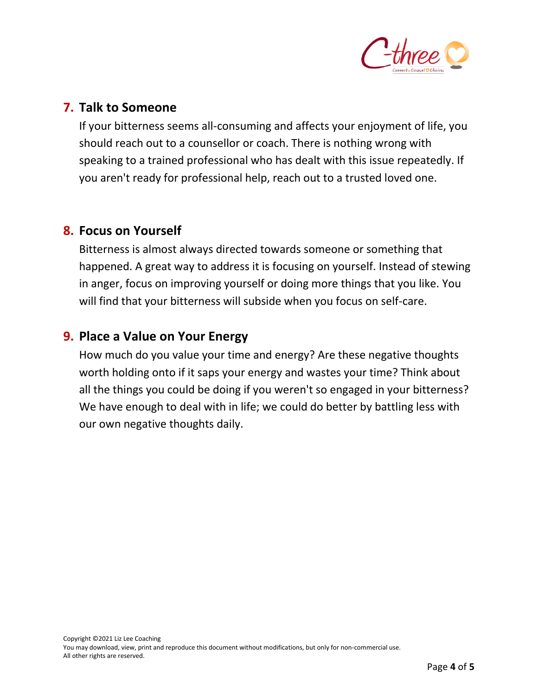

## **7. Talk to Someone**

If your bitterness seems all-consuming and affects your enjoyment of life, you should reach out to a counsellor or coach. There is nothing wrong with speaking to a trained professional who has dealt with this issue repeatedly. If you aren't ready for professional help, reach out to a trusted loved one.

## **8. Focus on Yourself**

Bitterness is almost always directed towards someone or something that happened. A great way to address it is focusing on yourself. Instead of stewing in anger, focus on improving yourself or doing more things that you like. You will find that your bitterness will subside when you focus on self-care.

# **9. Place a Value on Your Energy**

How much do you value your time and energy? Are these negative thoughts worth holding onto if it saps your energy and wastes your time? Think about all the things you could be doing if you weren't so engaged in your bitterness? We have enough to deal with in life; we could do better by battling less with our own negative thoughts daily.